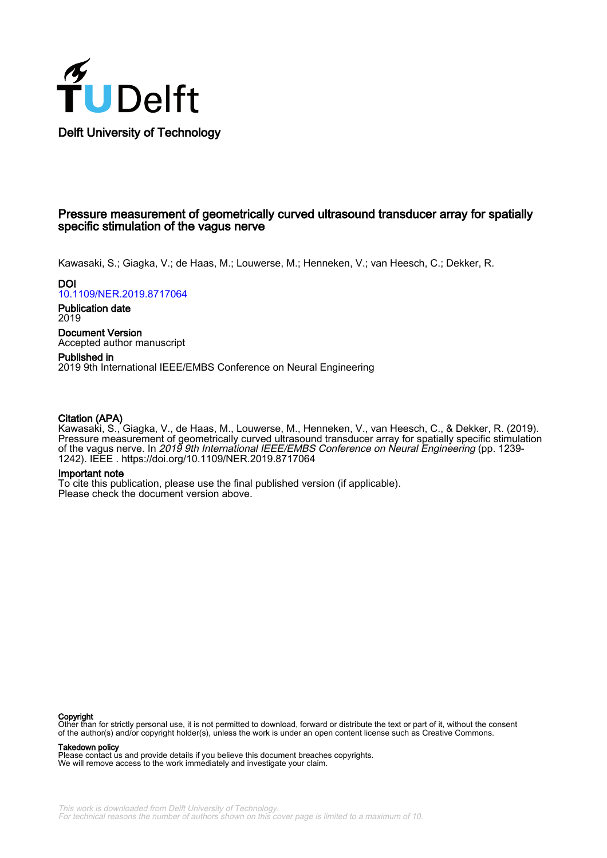

# Pressure measurement of geometrically curved ultrasound transducer array for spatially specific stimulation of the vagus nerve

Kawasaki, S.; Giagka, V.; de Haas, M.; Louwerse, M.; Henneken, V.; van Heesch, C.; Dekker, R.

**DOI** [10.1109/NER.2019.8717064](https://doi.org/10.1109/NER.2019.8717064)

Publication date 2019

Document Version Accepted author manuscript

Published in 2019 9th International IEEE/EMBS Conference on Neural Engineering

## Citation (APA)

Kawasaki, S., Giagka, V., de Haas, M., Louwerse, M., Henneken, V., van Heesch, C., & Dekker, R. (2019). Pressure measurement of geometrically curved ultrasound transducer array for spatially specific stimulation of the vagus nerve. In *2019 9th International IEEE/EMBS Conference on Neural Engineering* (pp. 1239-1242). IEEE .<https://doi.org/10.1109/NER.2019.8717064>

### Important note

To cite this publication, please use the final published version (if applicable). Please check the document version above.

**Copyright**<br>Other than for strictly personal use, it is not permitted to download, forward or distribute the text or part of it, without the consent of the author(s) and/or copyright holder(s), unless the work is under an open content license such as Creative Commons.

Takedown policy

Please contact us and provide details if you believe this document breaches copyrights. We will remove access to the work immediately and investigate your claim.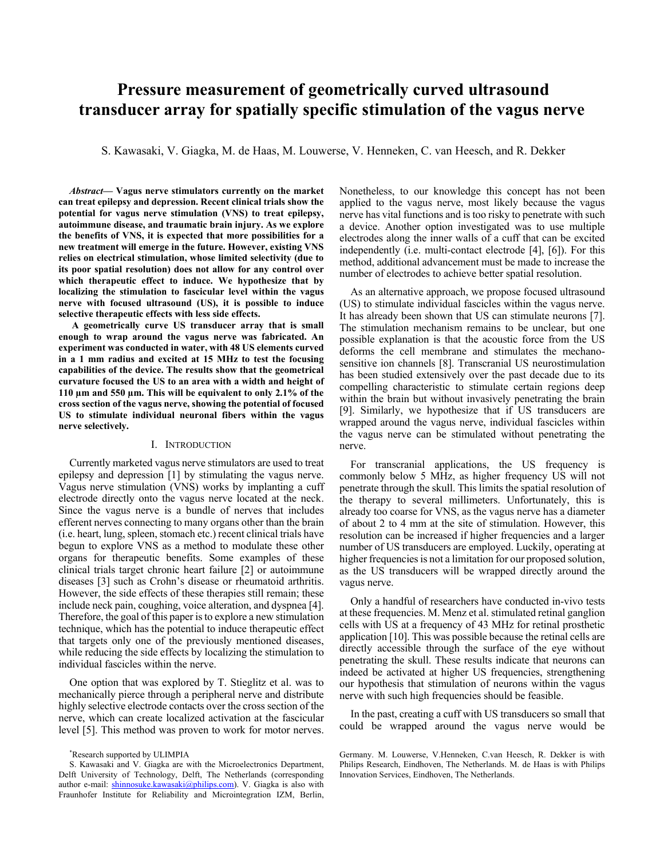# **Pressure measurement of geometrically curved ultrasound** transducer array for spatially specific stimulation of the vagus nerve

S. Kawasaki, V. Giagka, M. de Haas, M. Louwerse, V. Henneken, C. van Heesch, and R. Dekker

Abstract- Vagus nerve stimulators currently on the market can treat epilepsy and depression. Recent clinical trials show the potential for vagus nerve stimulation (VNS) to treat epilepsy, autoimmune disease, and traumatic brain injury. As we explore the benefits of VNS, it is expected that more possibilities for a new treatment will emerge in the future. However, existing VNS relies on electrical stimulation, whose limited selectivity (due to its poor spatial resolution) does not allow for any control over which therapeutic effect to induce. We hypothesize that by localizing the stimulation to fascicular level within the vagus nerve with focused ultrasound (US), it is possible to induce selective therapeutic effects with less side effects.

A geometrically curve US transducer array that is small enough to wrap around the vagus nerve was fabricated. An experiment was conducted in water, with 48 US elements curved in a 1 mm radius and excited at 15 MHz to test the focusing capabilities of the device. The results show that the geometrical curvature focused the US to an area with a width and height of 110 μm and 550 μm. This will be equivalent to only 2.1% of the cross section of the vagus nerve, showing the potential of focused US to stimulate individual neuronal fibers within the vagus nerve selectively.

#### I. INTRODUCTION

Currently marketed vagus nerve stimulators are used to treat epilepsy and depression [1] by stimulating the vagus nerve. Vagus nerve stimulation (VNS) works by implanting a cuff electrode directly onto the vagus nerve located at the neck. Since the vagus nerve is a bundle of nerves that includes efferent nerves connecting to many organs other than the brain (i.e. heart, lung, spleen, stomach etc.) recent clinical trials have begun to explore VNS as a method to modulate these other organs for therapeutic benefits. Some examples of these clinical trials target chronic heart failure [2] or autoimmune diseases [3] such as Crohn's disease or rheumatoid arthritis. However, the side effects of these therapies still remain; these include neck pain, coughing, voice alteration, and dyspnea [4]. Therefore, the goal of this paper is to explore a new stimulation technique, which has the potential to induce therapeutic effect that targets only one of the previously mentioned diseases, while reducing the side effects by localizing the stimulation to individual fascicles within the nerve.

One option that was explored by T. Stieglitz et al. was to mechanically pierce through a peripheral nerve and distribute highly selective electrode contacts over the cross section of the nerve, which can create localized activation at the fascicular level [5]. This method was proven to work for motor nerves. Nonetheless, to our knowledge this concept has not been applied to the vagus nerve, most likely because the vagus nerve has vital functions and is too risky to penetrate with such a device. Another option investigated was to use multiple electrodes along the inner walls of a cuff that can be excited independently (i.e. multi-contact electrode [4], [6]). For this method, additional advancement must be made to increase the number of electrodes to achieve better spatial resolution.

As an alternative approach, we propose focused ultrasound (US) to stimulate individual fascicles within the vagus nerve. It has already been shown that US can stimulate neurons [7]. The stimulation mechanism remains to be unclear, but one possible explanation is that the acoustic force from the US deforms the cell membrane and stimulates the mechanosensitive ion channels [8]. Transcranial US neurostimulation has been studied extensively over the past decade due to its compelling characteristic to stimulate certain regions deep within the brain but without invasively penetrating the brain [9]. Similarly, we hypothesize that if US transducers are wrapped around the vagus nerve, individual fascicles within the vagus nerve can be stimulated without penetrating the nerve

For transcranial applications, the US frequency is commonly below 5 MHz, as higher frequency US will not penetrate through the skull. This limits the spatial resolution of the therapy to several millimeters. Unfortunately, this is already too coarse for VNS, as the vagus nerve has a diameter of about 2 to 4 mm at the site of stimulation. However, this resolution can be increased if higher frequencies and a larger number of US transducers are employed. Luckily, operating at higher frequencies is not a limitation for our proposed solution, as the US transducers will be wrapped directly around the vagus nerve.

Only a handful of researchers have conducted in-vivo tests at these frequencies. M. Menz et al. stimulated retinal ganglion cells with US at a frequency of 43 MHz for retinal prosthetic application [10]. This was possible because the retinal cells are directly accessible through the surface of the eye without penetrating the skull. These results indicate that neurons can indeed be activated at higher US frequencies, strengthening our hypothesis that stimulation of neurons within the vagus nerve with such high frequencies should be feasible.

In the past, creating a cuff with US transducers so small that could be wrapped around the vagus nerve would be

<sup>\*</sup>Research supported by ULIMPIA

S. Kawasaki and V. Giagka are with the Microelectronics Department, Delft University of Technology, Delft, The Netherlands (corresponding author e-mail: shinnosuke.kawasaki@philips.com). V. Giagka is also with Fraunhofer Institute for Reliability and Microintegration IZM, Berlin,

Germany. M. Louwerse, V.Henneken, C.van Heesch, R. Dekker is with Philips Research, Eindhoven, The Netherlands. M. de Haas is with Philips Innovation Services, Eindhoven, The Netherlands.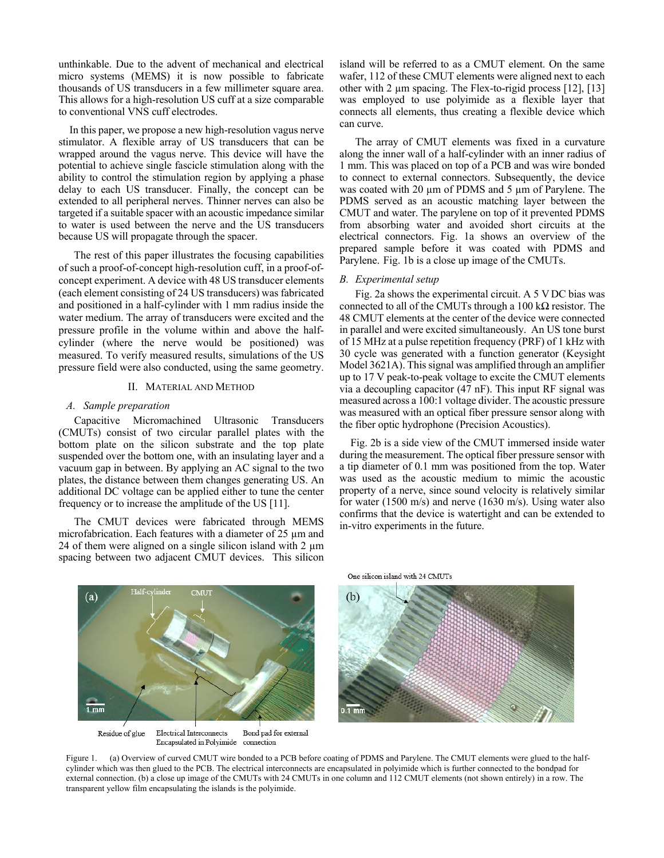unthinkable. Due to the advent of mechanical and electrical micro systems (MEMS) it is now possible to fabricate thousands of US transducers in a few millimeter square area. This allows for a high-resolution US cuff at a size comparable to conventional VNS cuff electrodes.

In this paper, we propose a new high-resolution vagus nerve stimulator. A flexible array of US transducers that can be wrapped around the vagus nerve. This device will have the potential to achieve single fascicle stimulation along with the ability to control the stimulation region by applying a phase delay to each US transducer. Finally, the concept can be extended to all peripheral nerves. Thinner nerves can also be targeted if a suitable spacer with an acoustic impedance similar to water is used between the nerve and the US transducers because US will propagate through the spacer.

The rest of this paper illustrates the focusing capabilities of such a proof-of-concept high-resolution cuff, in a proof-ofconcept experiment. A device with 48 US transducer elements (each element consisting of 24 US transducers) was fabricated and positioned in a half-cylinder with 1 mm radius inside the water medium. The array of transducers were excited and the pressure profile in the volume within and above the halfcylinder (where the nerve would be positioned) was measured. To verify measured results, simulations of the US pressure field were also conducted, using the same geometry.

#### II. MATERIAL AND METHOD

#### A. Sample preparation

Capacitive Micromachined Ultrasonic Transducers (CMUTs) consist of two circular parallel plates with the bottom plate on the silicon substrate and the top plate suspended over the bottom one, with an insulating layer and a vacuum gap in between. By applying an AC signal to the two plates, the distance between them changes generating US. An additional DC voltage can be applied either to tune the center frequency or to increase the amplitude of the US [11].

The CMUT devices were fabricated through MEMS microfabrication. Each features with a diameter of 25 um and 24 of them were aligned on a single silicon island with 2  $\mu$ m spacing between two adjacent CMUT devices. This silicon island will be referred to as a CMUT element. On the same wafer, 112 of these CMUT elements were aligned next to each other with 2 um spacing. The Flex-to-rigid process [12], [13] was employed to use polyimide as a flexible layer that connects all elements, thus creating a flexible device which can curve.

The array of CMUT elements was fixed in a curvature along the inner wall of a half-cylinder with an inner radius of 1 mm. This was placed on top of a PCB and was wire bonded to connect to external connectors. Subsequently, the device was coated with 20 µm of PDMS and 5 µm of Parylene. The PDMS served as an acoustic matching layer between the CMUT and water. The parylene on top of it prevented PDMS from absorbing water and avoided short circuits at the electrical connectors. Fig. 1a shows an overview of the prepared sample before it was coated with PDMS and Parylene. Fig. 1b is a close up image of the CMUTs.

#### **B.** Experimental setup

Fig. 2a shows the experimental circuit. A 5 VDC bias was connected to all of the CMUTs through a 100 k $\Omega$  resistor. The 48 CMUT elements at the center of the device were connected in parallel and were excited simultaneously. An US tone burst of 15 MHz at a pulse repetition frequency (PRF) of 1 kHz with 30 cycle was generated with a function generator (Keysight Model 3621A). This signal was amplified through an amplifier up to 17 V peak-to-peak voltage to excite the CMUT elements via a decoupling capacitor (47 nF). This input RF signal was measured across a 100:1 voltage divider. The acoustic pressure was measured with an optical fiber pressure sensor along with the fiber optic hydrophone (Precision Acoustics).

Fig. 2b is a side view of the CMUT immersed inside water during the measurement. The optical fiber pressure sensor with a tip diameter of 0.1 mm was positioned from the top. Water was used as the acoustic medium to mimic the acoustic property of a nerve, since sound velocity is relatively similar for water (1500 m/s) and nerve (1630 m/s). Using water also confirms that the device is water tight and can be extended to in-vitro experiments in the future.



One silicon island with 24 CMUTs



Figure 1. (a) Overview of curved CMUT wire bonded to a PCB before coating of PDMS and Parylene. The CMUT elements were glued to the halfcylinder which was then glued to the PCB. The electrical interconnects are encapsulated in polyimide which is further connected to the bondpad for external connection. (b) a close up image of the CMUTs with 24 CMUTs in one column and 112 CMUT elements (not shown entirely) in a row. The transparent yellow film encapsulating the islands is the polyimide.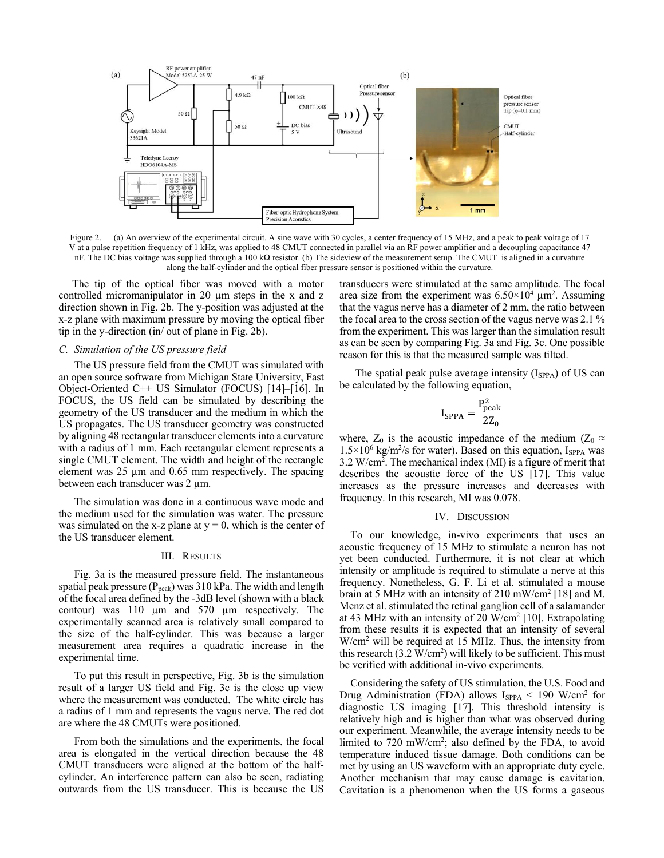

(a) An overview of the experimental circuit. A sine wave with 30 cycles, a center frequency of 15 MHz, and a peak to peak voltage of 17 Figure 2. V at a pulse repetition frequency of 1 kHz, was applied to 48 CMUT connected in parallel via an RF power amplifier and a decoupling capacitance 47 nF. The DC bias voltage was supplied through a 100 k $\Omega$  resistor. (b) The sideview of the measurement setup. The CMUT is aligned in a curvature along the half-cylinder and the optical fiber pressure sensor is positioned within the curvature.

The tip of the optical fiber was moved with a motor controlled micromanipulator in 20 µm steps in the x and z direction shown in Fig. 2b. The y-position was adjusted at the x-z plane with maximum pressure by moving the optical fiber tip in the y-direction (in/ out of plane in Fig. 2b).

#### C. Simulation of the US pressure field

The US pressure field from the CMUT was simulated with an open source software from Michigan State University, Fast Object-Oriented C++ US Simulator (FOCUS) [14]-[16]. In FOCUS, the US field can be simulated by describing the geometry of the US transducer and the medium in which the US propagates. The US transducer geometry was constructed by aligning 48 rectangular transducer elements into a curvature with a radius of 1 mm. Each rectangular element represents a single CMUT element. The width and height of the rectangle element was  $25 \mu m$  and 0.65 mm respectively. The spacing between each transducer was 2 μm.

The simulation was done in a continuous wave mode and the medium used for the simulation was water. The pressure was simulated on the x-z plane at  $y = 0$ , which is the center of the US transducer element.

#### **III. RESULTS**

Fig. 3a is the measured pressure field. The instantaneous spatial peak pressure ( $P_{peak}$ ) was 310 kPa. The width and length of the focal area defined by the -3dB level (shown with a black contour) was 110 µm and 570 µm respectively. The experimentally scanned area is relatively small compared to the size of the half-cylinder. This was because a larger measurement area requires a quadratic increase in the experimental time.

To put this result in perspective, Fig. 3b is the simulation result of a larger US field and Fig. 3c is the close up view where the measurement was conducted. The white circle has a radius of 1 mm and represents the vagus nerve. The red dot are where the 48 CMUTs were positioned.

From both the simulations and the experiments, the focal area is elongated in the vertical direction because the 48 CMUT transducers were aligned at the bottom of the halfcylinder. An interference pattern can also be seen, radiating outwards from the US transducer. This is because the US transducers were stimulated at the same amplitude. The focal area size from the experiment was  $6.50 \times 10^4$  µm<sup>2</sup>. Assuming that the vagus nerve has a diameter of 2 mm, the ratio between the focal area to the cross section of the vagus nerve was 2.1 % from the experiment. This was larger than the simulation result as can be seen by comparing Fig. 3a and Fig. 3c. One possible reason for this is that the measured sample was tilted.

The spatial peak pulse average intensity  $(I_{SPPA})$  of US can be calculated by the following equation,

$$
I_{\text{SPPA}} = \frac{P_{\text{peak}}^2}{2Z_0}
$$

where,  $Z_0$  is the acoustic impedance of the medium ( $Z_0 \approx$  $1.5 \times 10^6$  kg/m<sup>2</sup>/s for water). Based on this equation, I<sub>SPPA</sub> was  $3.2$  W/cm<sup>2</sup>. The mechanical index (MI) is a figure of merit that describes the acoustic force of the US [17]. This value increases as the pressure increases and decreases with frequency. In this research, MI was 0.078.

#### IV. DISCUSSION

To our knowledge, in-vivo experiments that uses an acoustic frequency of 15 MHz to stimulate a neuron has not yet been conducted. Furthermore, it is not clear at which intensity or amplitude is required to stimulate a nerve at this frequency. Nonetheless, G. F. Li et al. stimulated a mouse brain at 5 MHz with an intensity of 210 mW/cm<sup>2</sup> [18] and M. Menz et al. stimulated the retinal ganglion cell of a salamander at 43 MHz with an intensity of 20 W/cm<sup>2</sup> [10]. Extrapolating from these results it is expected that an intensity of several  $W/cm<sup>2</sup>$  will be required at 15 MHz. Thus, the intensity from this research  $(3.2 \text{ W/cm}^2)$  will likely to be sufficient. This must be verified with additional in-vivo experiments.

Considering the safety of US stimulation, the U.S. Food and Drug Administration (FDA) allows  $I_{SPPA}$  < 190 W/cm<sup>2</sup> for diagnostic US imaging [17]. This threshold intensity is relatively high and is higher than what was observed during our experiment. Meanwhile, the average intensity needs to be limited to 720 mW/cm<sup>2</sup>; also defined by the FDA, to avoid temperature induced tissue damage. Both conditions can be met by using an US waveform with an appropriate duty cycle. Another mechanism that may cause damage is cavitation. Cavitation is a phenomenon when the US forms a gaseous